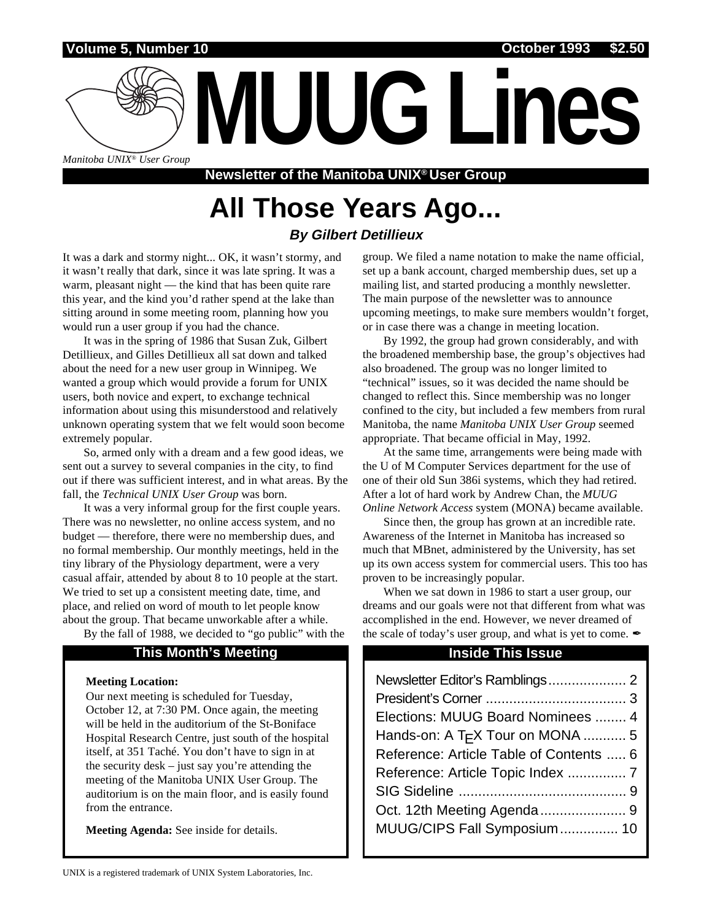**Volume 5, Number 10 October 1993 \$2.50**

*Manitoba UNIX® User Group*

**Newsletter of the Manitoba UNIX® User Group**

## **All Those Years Ago... By Gilbert Detillieux**

It was a dark and stormy night... OK, it wasn't stormy, and it wasn't really that dark, since it was late spring. It was a warm, pleasant night — the kind that has been quite rare this year, and the kind you'd rather spend at the lake than sitting around in some meeting room, planning how you would run a user group if you had the chance.

It was in the spring of 1986 that Susan Zuk, Gilbert Detillieux, and Gilles Detillieux all sat down and talked about the need for a new user group in Winnipeg. We wanted a group which would provide a forum for UNIX users, both novice and expert, to exchange technical information about using this misunderstood and relatively unknown operating system that we felt would soon become extremely popular.

So, armed only with a dream and a few good ideas, we sent out a survey to several companies in the city, to find out if there was sufficient interest, and in what areas. By the fall, the *Technical UNIX User Group* was born.

It was a very informal group for the first couple years. There was no newsletter, no online access system, and no budget — therefore, there were no membership dues, and no formal membership. Our monthly meetings, held in the tiny library of the Physiology department, were a very casual affair, attended by about 8 to 10 people at the start. We tried to set up a consistent meeting date, time, and place, and relied on word of mouth to let people know about the group. That became unworkable after a while.

By the fall of 1988, we decided to "go public" with the

### **This Month's Meeting Inside This Issue**

### **Meeting Location:**

Our next meeting is scheduled for Tuesday, October 12, at 7:30 PM. Once again, the meeting will be held in the auditorium of the St-Boniface Hospital Research Centre, just south of the hospital itself, at 351 Taché. You don't have to sign in at the security desk – just say you're attending the meeting of the Manitoba UNIX User Group. The auditorium is on the main floor, and is easily found from the entrance.

**Meeting Agenda:** See inside for details.

group. We filed a name notation to make the name official, set up a bank account, charged membership dues, set up a mailing list, and started producing a monthly newsletter. The main purpose of the newsletter was to announce upcoming meetings, to make sure members wouldn't forget, or in case there was a change in meeting location.

**MUUG Lines**

By 1992, the group had grown considerably, and with the broadened membership base, the group's objectives had also broadened. The group was no longer limited to "technical" issues, so it was decided the name should be changed to reflect this. Since membership was no longer confined to the city, but included a few members from rural Manitoba, the name *Manitoba UNIX User Group* seemed appropriate. That became official in May, 1992.

At the same time, arrangements were being made with the U of M Computer Services department for the use of one of their old Sun 386i systems, which they had retired. After a lot of hard work by Andrew Chan, the *MUUG Online Network Access* system (MONA) became available.

Since then, the group has grown at an incredible rate. Awareness of the Internet in Manitoba has increased so much that MBnet, administered by the University, has set up its own access system for commercial users. This too has proven to be increasingly popular.

When we sat down in 1986 to start a user group, our dreams and our goals were not that different from what was accomplished in the end. However, we never dreamed of the scale of today's user group, and what is yet to come.  $\mathscr I$ 

| Elections: MUUG Board Nominees  4            |  |
|----------------------------------------------|--|
| Hands-on: A T <sub>F</sub> X Tour on MONA  5 |  |
| Reference: Article Table of Contents  6      |  |
| Reference: Article Topic Index  7            |  |
|                                              |  |
|                                              |  |
| MUUG/CIPS Fall Symposium 10                  |  |
|                                              |  |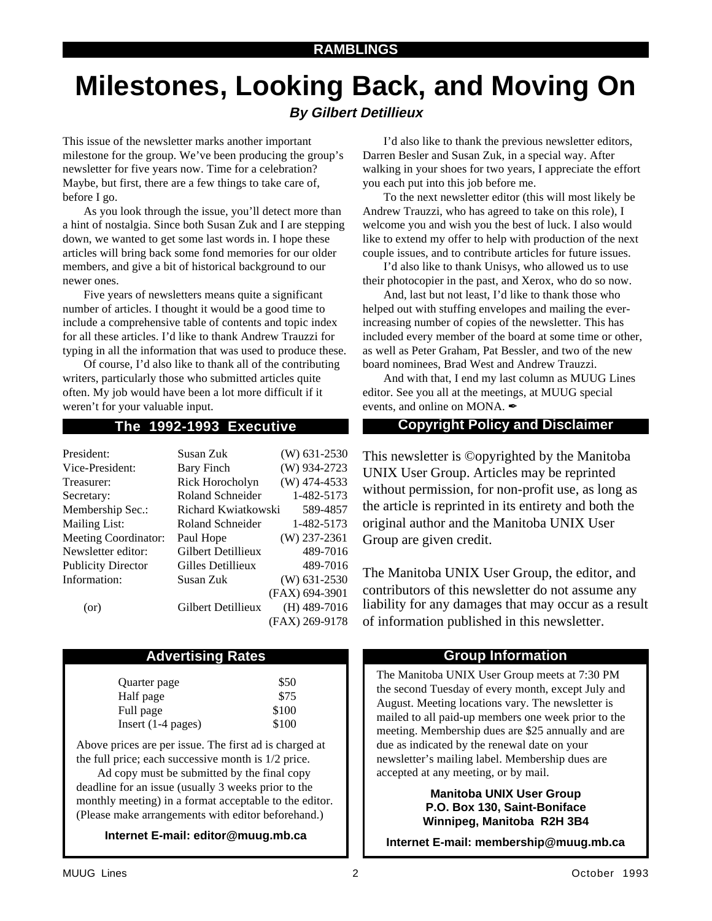# **Milestones, Looking Back, and Moving On**

### **By Gilbert Detillieux**

This issue of the newsletter marks another important milestone for the group. We've been producing the group's newsletter for five years now. Time for a celebration? Maybe, but first, there are a few things to take care of, before I go.

As you look through the issue, you'll detect more than a hint of nostalgia. Since both Susan Zuk and I are stepping down, we wanted to get some last words in. I hope these articles will bring back some fond memories for our older members, and give a bit of historical background to our newer ones.

Five years of newsletters means quite a significant number of articles. I thought it would be a good time to include a comprehensive table of contents and topic index for all these articles. I'd like to thank Andrew Trauzzi for typing in all the information that was used to produce these.

Of course, I'd also like to thank all of the contributing writers, particularly those who submitted articles quite often. My job would have been a lot more difficult if it weren't for your valuable input.

| President:                  | Susan Zuk           | $(W)$ 631-2530 |
|-----------------------------|---------------------|----------------|
| Vice-President:             | Bary Finch          | (W) 934-2723   |
| Treasurer:                  | Rick Horocholyn     | $(W)$ 474-4533 |
| Secretary:                  | Roland Schneider    | 1-482-5173     |
| Membership Sec.:            | Richard Kwiatkowski | 589-4857       |
| <b>Mailing List:</b>        | Roland Schneider    | 1-482-5173     |
| <b>Meeting Coordinator:</b> | Paul Hope           | $(W)$ 237-2361 |
| Newsletter editor:          | Gilbert Detillieux  | 489-7016       |
| <b>Publicity Director</b>   | Gilles Detillieux   | 489-7016       |
| Information:                | Susan Zuk           | $(W)$ 631-2530 |
|                             |                     | (FAX) 694-3901 |
| (or)                        | Gilbert Detillieux  | $(H)$ 489-7016 |
|                             |                     | (FAX) 269-9178 |
|                             |                     |                |

### **Advertising Rates**

| Quarter page         | \$50  |
|----------------------|-------|
| Half page            | \$75  |
| Full page            | \$100 |
| Insert $(1-4$ pages) | \$100 |

Above prices are per issue. The first ad is charged at the full price; each successive month is 1/2 price.

Ad copy must be submitted by the final copy deadline for an issue (usually 3 weeks prior to the monthly meeting) in a format acceptable to the editor. (Please make arrangements with editor beforehand.)

**Internet E-mail: editor@muug.mb.ca**

I'd also like to thank the previous newsletter editors, Darren Besler and Susan Zuk, in a special way. After walking in your shoes for two years, I appreciate the effort you each put into this job before me.

To the next newsletter editor (this will most likely be Andrew Trauzzi, who has agreed to take on this role), I welcome you and wish you the best of luck. I also would like to extend my offer to help with production of the next couple issues, and to contribute articles for future issues.

I'd also like to thank Unisys, who allowed us to use their photocopier in the past, and Xerox, who do so now.

And, last but not least, I'd like to thank those who helped out with stuffing envelopes and mailing the everincreasing number of copies of the newsletter. This has included every member of the board at some time or other, as well as Peter Graham, Pat Bessler, and two of the new board nominees, Brad West and Andrew Trauzzi.

And with that, I end my last column as MUUG Lines editor. See you all at the meetings, at MUUG special events, and online on MONA.

### **The 1992-1993 Executive Copyright Policy and Disclaimer**

This newsletter is ©opyrighted by the Manitoba UNIX User Group. Articles may be reprinted without permission, for non-profit use, as long as the article is reprinted in its entirety and both the original author and the Manitoba UNIX User Group are given credit.

The Manitoba UNIX User Group, the editor, and contributors of this newsletter do not assume any liability for any damages that may occur as a result of information published in this newsletter.

### **Group Information**

The Manitoba UNIX User Group meets at 7:30 PM the second Tuesday of every month, except July and August. Meeting locations vary. The newsletter is mailed to all paid-up members one week prior to the meeting. Membership dues are \$25 annually and are due as indicated by the renewal date on your newsletter's mailing label. Membership dues are accepted at any meeting, or by mail.

> **Manitoba UNIX User Group P.O. Box 130, Saint-Boniface Winnipeg, Manitoba R2H 3B4**

**Internet E-mail: membership@muug.mb.ca**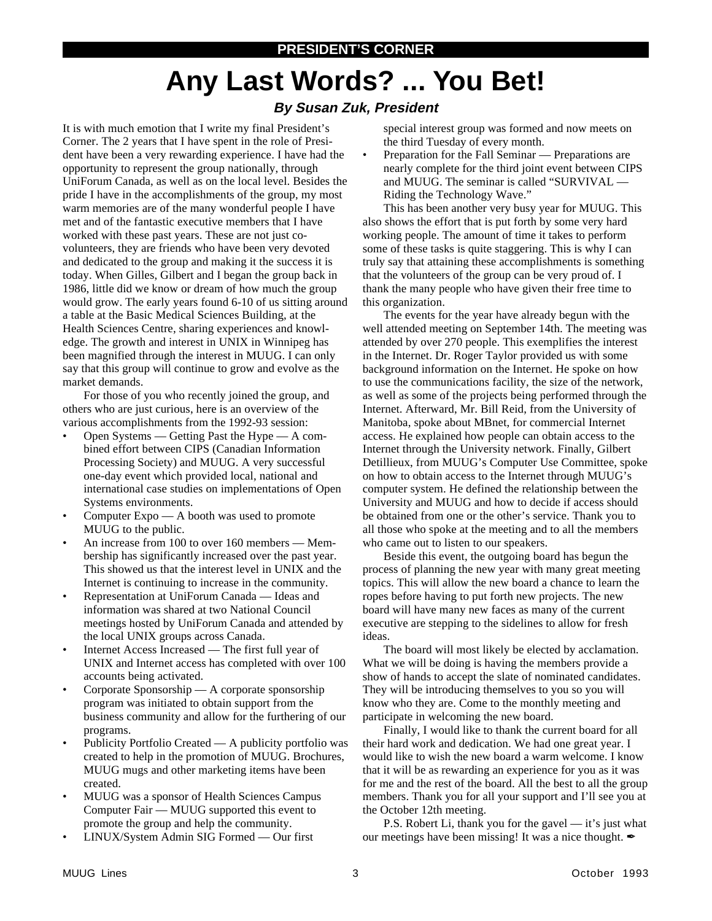# **Any Last Words? ... You Bet!**

### **By Susan Zuk, President**

It is with much emotion that I write my final President's Corner. The 2 years that I have spent in the role of President have been a very rewarding experience. I have had the opportunity to represent the group nationally, through UniForum Canada, as well as on the local level. Besides the pride I have in the accomplishments of the group, my most warm memories are of the many wonderful people I have met and of the fantastic executive members that I have worked with these past years. These are not just covolunteers, they are friends who have been very devoted and dedicated to the group and making it the success it is today. When Gilles, Gilbert and I began the group back in 1986, little did we know or dream of how much the group would grow. The early years found 6-10 of us sitting around a table at the Basic Medical Sciences Building, at the Health Sciences Centre, sharing experiences and knowledge. The growth and interest in UNIX in Winnipeg has been magnified through the interest in MUUG. I can only say that this group will continue to grow and evolve as the market demands.

For those of you who recently joined the group, and others who are just curious, here is an overview of the various accomplishments from the 1992-93 session:

- Open Systems Getting Past the Hype A combined effort between CIPS (Canadian Information Processing Society) and MUUG. A very successful one-day event which provided local, national and international case studies on implementations of Open Systems environments.
- Computer  $Expo A$  booth was used to promote MUUG to the public.
- An increase from 100 to over 160 members Membership has significantly increased over the past year. This showed us that the interest level in UNIX and the Internet is continuing to increase in the community.
- Representation at UniForum Canada Ideas and information was shared at two National Council meetings hosted by UniForum Canada and attended by the local UNIX groups across Canada.
- Internet Access Increased The first full year of UNIX and Internet access has completed with over 100 accounts being activated.
- Corporate Sponsorship A corporate sponsorship program was initiated to obtain support from the business community and allow for the furthering of our programs.
- Publicity Portfolio Created A publicity portfolio was created to help in the promotion of MUUG. Brochures, MUUG mugs and other marketing items have been created.
- MUUG was a sponsor of Health Sciences Campus Computer Fair — MUUG supported this event to promote the group and help the community.
- LINUX/System Admin SIG Formed Our first

special interest group was formed and now meets on the third Tuesday of every month.

• Preparation for the Fall Seminar — Preparations are nearly complete for the third joint event between CIPS and MUUG. The seminar is called "SURVIVAL — Riding the Technology Wave."

This has been another very busy year for MUUG. This also shows the effort that is put forth by some very hard working people. The amount of time it takes to perform some of these tasks is quite staggering. This is why I can truly say that attaining these accomplishments is something that the volunteers of the group can be very proud of. I thank the many people who have given their free time to this organization.

The events for the year have already begun with the well attended meeting on September 14th. The meeting was attended by over 270 people. This exemplifies the interest in the Internet. Dr. Roger Taylor provided us with some background information on the Internet. He spoke on how to use the communications facility, the size of the network, as well as some of the projects being performed through the Internet. Afterward, Mr. Bill Reid, from the University of Manitoba, spoke about MBnet, for commercial Internet access. He explained how people can obtain access to the Internet through the University network. Finally, Gilbert Detillieux, from MUUG's Computer Use Committee, spoke on how to obtain access to the Internet through MUUG's computer system. He defined the relationship between the University and MUUG and how to decide if access should be obtained from one or the other's service. Thank you to all those who spoke at the meeting and to all the members who came out to listen to our speakers.

Beside this event, the outgoing board has begun the process of planning the new year with many great meeting topics. This will allow the new board a chance to learn the ropes before having to put forth new projects. The new board will have many new faces as many of the current executive are stepping to the sidelines to allow for fresh ideas.

The board will most likely be elected by acclamation. What we will be doing is having the members provide a show of hands to accept the slate of nominated candidates. They will be introducing themselves to you so you will know who they are. Come to the monthly meeting and participate in welcoming the new board.

Finally, I would like to thank the current board for all their hard work and dedication. We had one great year. I would like to wish the new board a warm welcome. I know that it will be as rewarding an experience for you as it was for me and the rest of the board. All the best to all the group members. Thank you for all your support and I'll see you at the October 12th meeting.

P.S. Robert Li, thank you for the gavel — it's just what our meetings have been missing! It was a nice thought.  $\mathcal I$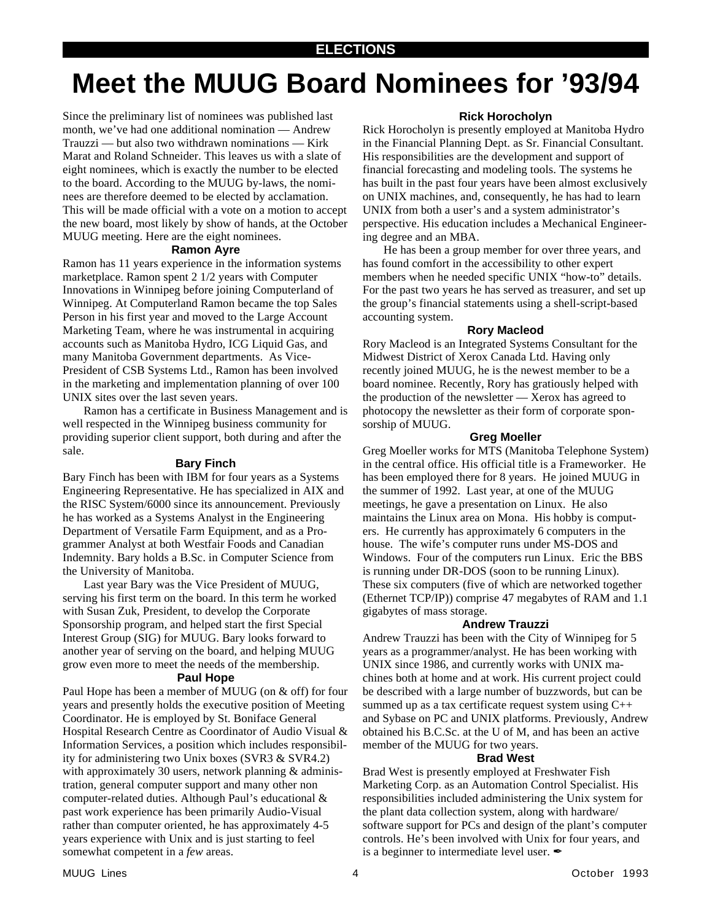### **ELECTIONS**

## **Meet the MUUG Board Nominees for '93/94**

Since the preliminary list of nominees was published last month, we've had one additional nomination — Andrew Trauzzi — but also two withdrawn nominations — Kirk Marat and Roland Schneider. This leaves us with a slate of eight nominees, which is exactly the number to be elected to the board. According to the MUUG by-laws, the nominees are therefore deemed to be elected by acclamation. This will be made official with a vote on a motion to accept the new board, most likely by show of hands, at the October MUUG meeting. Here are the eight nominees.

### **Ramon Ayre**

Ramon has 11 years experience in the information systems marketplace. Ramon spent 2 1/2 years with Computer Innovations in Winnipeg before joining Computerland of Winnipeg. At Computerland Ramon became the top Sales Person in his first year and moved to the Large Account Marketing Team, where he was instrumental in acquiring accounts such as Manitoba Hydro, ICG Liquid Gas, and many Manitoba Government departments. As Vice-President of CSB Systems Ltd., Ramon has been involved in the marketing and implementation planning of over 100 UNIX sites over the last seven years.

Ramon has a certificate in Business Management and is well respected in the Winnipeg business community for providing superior client support, both during and after the sale.

### **Bary Finch**

Bary Finch has been with IBM for four years as a Systems Engineering Representative. He has specialized in AIX and the RISC System/6000 since its announcement. Previously he has worked as a Systems Analyst in the Engineering Department of Versatile Farm Equipment, and as a Programmer Analyst at both Westfair Foods and Canadian Indemnity. Bary holds a B.Sc. in Computer Science from the University of Manitoba.

Last year Bary was the Vice President of MUUG, serving his first term on the board. In this term he worked with Susan Zuk, President, to develop the Corporate Sponsorship program, and helped start the first Special Interest Group (SIG) for MUUG. Bary looks forward to another year of serving on the board, and helping MUUG grow even more to meet the needs of the membership.

#### **Paul Hope**

Paul Hope has been a member of MUUG (on & off) for four years and presently holds the executive position of Meeting Coordinator. He is employed by St. Boniface General Hospital Research Centre as Coordinator of Audio Visual & Information Services, a position which includes responsibility for administering two Unix boxes (SVR3 & SVR4.2) with approximately 30 users, network planning & administration, general computer support and many other non computer-related duties. Although Paul's educational & past work experience has been primarily Audio-Visual rather than computer oriented, he has approximately 4-5 years experience with Unix and is just starting to feel somewhat competent in a *few* areas.

### **Rick Horocholyn**

Rick Horocholyn is presently employed at Manitoba Hydro in the Financial Planning Dept. as Sr. Financial Consultant. His responsibilities are the development and support of financial forecasting and modeling tools. The systems he has built in the past four years have been almost exclusively on UNIX machines, and, consequently, he has had to learn UNIX from both a user's and a system administrator's perspective. His education includes a Mechanical Engineering degree and an MBA.

He has been a group member for over three years, and has found comfort in the accessibility to other expert members when he needed specific UNIX "how-to" details. For the past two years he has served as treasurer, and set up the group's financial statements using a shell-script-based accounting system.

### **Rory Macleod**

Rory Macleod is an Integrated Systems Consultant for the Midwest District of Xerox Canada Ltd. Having only recently joined MUUG, he is the newest member to be a board nominee. Recently, Rory has gratiously helped with the production of the newsletter — Xerox has agreed to photocopy the newsletter as their form of corporate sponsorship of MUUG.

### **Greg Moeller**

Greg Moeller works for MTS (Manitoba Telephone System) in the central office. His official title is a Frameworker. He has been employed there for 8 years. He joined MUUG in the summer of 1992. Last year, at one of the MUUG meetings, he gave a presentation on Linux. He also maintains the Linux area on Mona. His hobby is computers. He currently has approximately 6 computers in the house. The wife's computer runs under MS-DOS and Windows. Four of the computers run Linux. Eric the BBS is running under DR-DOS (soon to be running Linux). These six computers (five of which are networked together (Ethernet TCP/IP)) comprise 47 megabytes of RAM and 1.1 gigabytes of mass storage.

### **Andrew Trauzzi**

Andrew Trauzzi has been with the City of Winnipeg for 5 years as a programmer/analyst. He has been working with UNIX since 1986, and currently works with UNIX machines both at home and at work. His current project could be described with a large number of buzzwords, but can be summed up as a tax certificate request system using C++ and Sybase on PC and UNIX platforms. Previously, Andrew obtained his B.C.Sc. at the U of M, and has been an active member of the MUUG for two years.

### **Brad West**

Brad West is presently employed at Freshwater Fish Marketing Corp. as an Automation Control Specialist. His responsibilities included administering the Unix system for the plant data collection system, along with hardware/ software support for PCs and design of the plant's computer controls. He's been involved with Unix for four years, and is a beginner to intermediate level user.  $\mathcal I$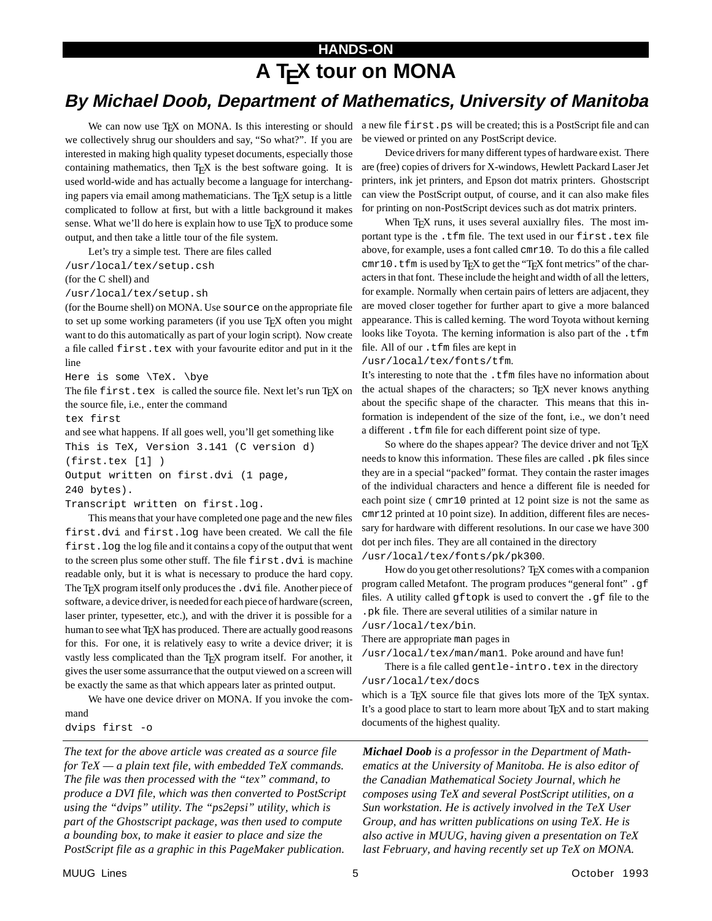## **HANDS-ON A TEX tour on MONA**

## **By Michael Doob, Department of Mathematics, University of Manitoba**

we collectively shrug our shoulders and say, "So what?". If you are interested in making high quality typeset documents, especially those containing mathematics, then  $T<sub>F</sub>X$  is the best software going. It is used world-wide and has actually become a language for interchanging papers via email among mathematicians. The T<sub>E</sub>X setup is a little complicated to follow at first, but with a little background it makes sense. What we'll do here is explain how to use T<sub>E</sub>X to produce some output, and then take a little tour of the file system.

Let's try a simple test. There are files called

/usr/local/tex/setup.csh

(for the C shell) and

/usr/local/tex/setup.sh

(for the Bourne shell) on MONA. Use source on the appropriate file to set up some working parameters (if you use T<sub>E</sub>X often you might want to do this automatically as part of your login script). Now create a file called first.tex with your favourite editor and put in it the line

Here is some \TeX. \bye

The file first.tex is called the source file. Next let's run TEX on the source file, i.e., enter the command

tex first

and see what happens. If all goes well, you'll get something like This is TeX, Version 3.141 (C version d) (first.tex [1] ) Output written on first.dvi (1 page, 240 bytes).

Transcript written on first.log.

This means that your have completed one page and the new files first.dvi and first.log have been created. We call the file first.log the log file and it contains a copy of the output that went to the screen plus some other stuff. The file first.dvi is machine readable only, but it is what is necessary to produce the hard copy. The T<sub>E</sub>X program itself only produces the .dvi file. Another piece of software, a device driver, is neededfor each piece of hardware (screen, laser printer, typesetter, etc.), and with the driver it is possible for a human to see what TEX has produced. There are actually good reasons for this. For one, it is relatively easy to write a device driver; it is vastly less complicated than the TEX program itself. For another, it gives the user some assurrance that the output viewed on a screen will be exactly the same as that which appears later as printed output.

We have one device driver on MONA. If you invoke the command

dvips first -o

*The text for the above article was created as a source file for TeX — a plain text file, with embedded TeX commands. The file was then processed with the "tex" command, to produce a DVI file, which was then converted to PostScript using the "dvips" utility. The "ps2epsi" utility, which is part of the Ghostscript package, was then used to compute a bounding box, to make it easier to place and size the PostScript file as a graphic in this PageMaker publication.*

We can now use TEX on MONA. Is this interesting or should a new file first.ps will be created; this is a PostScript file and can be viewed or printed on any PostScript device.

> Device drivers for many different types of hardware exist. There are (free) copies of drivers for X-windows, Hewlett Packard Laser Jet printers, ink jet printers, and Epson dot matrix printers. Ghostscript can view the PostScript output, of course, and it can also make files for printing on non-PostScript devices such as dot matrix printers.

> When TEX runs, it uses several auxiallry files. The most important type is the .tfm file. The text used in our first.tex file above, for example, uses a font called cmr10. To do this a file called  $cmr10$ . tfm is used by T<sub>E</sub>X to get the "T<sub>E</sub>X font metrics" of the characters in that font. These include the height and width of all the letters, for example. Normally when certain pairs of letters are adjacent, they are moved closer together for further apart to give a more balanced appearance. This is called kerning. The word Toyota without kerning looks like Toyota. The kerning information is also part of the .tfm file. All of our .tfm files are kept in

#### /usr/local/tex/fonts/tfm.

It's interesting to note that the .tfm files have no information about the actual shapes of the characters; so TEX never knows anything about the specific shape of the character. This means that this information is independent of the size of the font, i.e., we don't need a different . tfm file for each different point size of type.

So where do the shapes appear? The device driver and not T<sub>E</sub>X needs to know this information. These files are called .pk files since they are in a special "packed" format. They contain the raster images of the individual characters and hence a different file is needed for each point size ( cmr10 printed at 12 point size is not the same as cmr12 printed at 10 point size). In addition, different files are necessary for hardware with different resolutions. In our case we have 300 dot per inch files. They are all contained in the directory /usr/local/tex/fonts/pk/pk300.

How do you get other resolutions? T<sub>E</sub>X comes with a companion program called Metafont. The program produces "general font" .gf files. A utility called gftopk is used to convert the .gf file to the .pk file. There are several utilities of a similar nature in

/usr/local/tex/bin.

There are appropriate man pages in

/usr/local/tex/man/man1. Poke around and have fun! There is a file called gentle-intro.tex in the directory

/usr/local/tex/docs

which is a T<sub>E</sub>X source file that gives lots more of the T<sub>E</sub>X syntax. It's a good place to start to learn more about T<sub>E</sub>X and to start making documents of the highest quality.

*Michael Doob is a professor in the Department of Mathematics at the University of Manitoba. He is also editor of the Canadian Mathematical Society Journal, which he composes using TeX and several PostScript utilities, on a Sun workstation. He is actively involved in the TeX User Group, and has written publications on using TeX. He is also active in MUUG, having given a presentation on TeX last February, and having recently set up TeX on MONA.*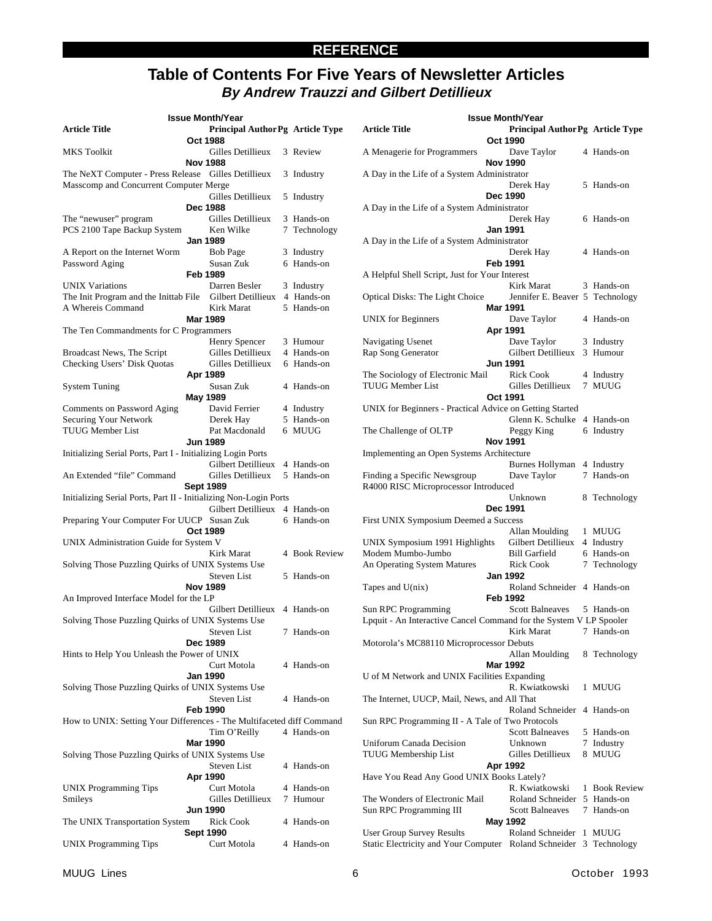### **REFERENCE**

### **Table of Contents For Five Years of Newsletter Articles By Andrew Trauzzi and Gilbert Detillieux**

|                                                                       | <b>Issue Month/Year</b>                     |                            |
|-----------------------------------------------------------------------|---------------------------------------------|----------------------------|
| Article Title                                                         | Principal AuthorPg Article Type<br>Oct 1988 |                            |
| MKS Toolkit                                                           | Gilles Detillieux<br><b>Nov 1988</b>        | 3 Review                   |
| The NeXT Computer - Press Release Gilles Detillieux                   |                                             | 3 Industry                 |
| Masscomp and Concurrent Computer Merge                                |                                             |                            |
|                                                                       | Gilles Detillieux                           | 5 Industry                 |
|                                                                       | Dec 1988                                    |                            |
| The "newuser" program<br>PCS 2100 Tape Backup System                  | Gilles Detillieux<br>Ken Wilke              | 3 Hands-on<br>7 Technology |
|                                                                       | <b>Jan 1989</b>                             |                            |
| A Report on the Internet Worm                                         | <b>Bob Page</b>                             | 3 Industry                 |
| Password Aging                                                        | Susan Zuk                                   | 6 Hands-on                 |
|                                                                       | Feb 1989                                    |                            |
| UNIX Variations                                                       | Darren Besler                               | 3 Industry                 |
| The Init Program and the Inittab File Gilbert Detillieux 4 Hands-on   |                                             |                            |
| A Whereis Command                                                     | Kirk Marat                                  | 5 Hands-on                 |
|                                                                       | <b>Mar 1989</b>                             |                            |
| The Ten Commandments for C Programmers                                |                                             |                            |
|                                                                       | Henry Spencer                               | 3 Humour                   |
| <b>Broadcast News, The Script</b>                                     | Gilles Detillieux                           | 4 Hands-on                 |
| <b>Checking Users' Disk Quotas</b>                                    | Gilles Detillieux                           | 6 Hands-on                 |
| <b>System Tuning</b>                                                  | Apr 1989<br>Susan Zuk                       | 4 Hands-on                 |
|                                                                       | May 1989                                    |                            |
| Comments on Password Aging                                            | David Ferrier                               | 4 Industry                 |
| <b>Securing Your Network</b>                                          | Derek Hay                                   | 5 Hands-on                 |
| TUUG Member List                                                      | Pat Macdonald                               | 6 MUUG                     |
|                                                                       | <b>Jun 1989</b>                             |                            |
| Initializing Serial Ports, Part I - Initializing Login Ports          |                                             |                            |
|                                                                       | Gilbert Detillieux                          | 4 Hands-on                 |
| An Extended "file" Command                                            | Gilles Detillieux                           | 5 Hands-on                 |
|                                                                       | <b>Sept 1989</b>                            |                            |
| Initializing Serial Ports, Part II - Initializing Non-Login Ports     |                                             |                            |
|                                                                       | Gilbert Detillieux 4 Hands-on               |                            |
| Preparing Your Computer For UUCP Susan Zuk                            | Oct 1989                                    | 6 Hands-on                 |
| UNIX Administration Guide for System V                                |                                             |                            |
|                                                                       | Kirk Marat                                  | 4 Book Review              |
| Solving Those Puzzling Quirks of UNIX Systems Use                     |                                             |                            |
|                                                                       | <b>Steven List</b>                          | 5 Hands-on                 |
|                                                                       | <b>Nov 1989</b>                             |                            |
| An Improved Interface Model for the LP                                |                                             |                            |
|                                                                       | Gilbert Detillieux 4 Hands-on               |                            |
| Solving Those Puzzling Quirks of UNIX Systems Use                     |                                             |                            |
|                                                                       | <b>Steven List</b>                          | 7 Hands-on                 |
|                                                                       | <b>Dec 1989</b>                             |                            |
| Hints to Help You Unleash the Power of UNIX                           |                                             |                            |
|                                                                       | Curt Motola<br><b>Jan 1990</b>              | 4 Hands-on                 |
| Solving Those Puzzling Quirks of UNIX Systems Use                     |                                             |                            |
|                                                                       | <b>Steven List</b>                          | 4 Hands-on                 |
|                                                                       | <b>Feb 1990</b>                             |                            |
| How to UNIX: Setting Your Differences - The Multifaceted diff Command |                                             |                            |
|                                                                       | Tim O'Reilly                                | 4 Hands-on                 |
|                                                                       | <b>Mar 1990</b>                             |                            |
| Solving Those Puzzling Quirks of UNIX Systems Use                     |                                             |                            |
|                                                                       | Steven List                                 | 4 Hands-on                 |
|                                                                       | Apr 1990                                    |                            |
| <b>UNIX Programming Tips</b>                                          | Curt Motola                                 | 4 Hands-on                 |
| Smileys                                                               | Gilles Detillieux                           | 7 Humour                   |
|                                                                       | <b>Jun 1990</b>                             |                            |
| The UNIX Transportation System                                        | Rick Cook<br><b>Sept 1990</b>               | 4 Hands-on                 |
| <b>UNIX Programming Tips</b>                                          | Curt Motola                                 | 4 Hands-on                 |
|                                                                       |                                             |                            |

| <b>Issue Month/Year</b>                                            |                 |                                            |  |                          |  |
|--------------------------------------------------------------------|-----------------|--------------------------------------------|--|--------------------------|--|
| <b>Article Title</b>                                               | <b>Oct 1990</b> | Principal AuthorPg Article Type            |  |                          |  |
| A Menagerie for Programmers                                        | Nov 1990        | Dave Taylor                                |  | 4 Hands-on               |  |
| A Day in the Life of a System Administrator                        |                 | Derek Hay                                  |  | 5 Hands-on               |  |
| A Day in the Life of a System Administrator                        | Dec 1990        |                                            |  |                          |  |
|                                                                    | Jan 1991        | Derek Hay                                  |  | 6 Hands-on               |  |
| A Day in the Life of a System Administrator                        |                 |                                            |  |                          |  |
|                                                                    | Feb 1991        | Derek Hay                                  |  | 4 Hands-on               |  |
| A Helpful Shell Script, Just for Your Interest                     |                 |                                            |  |                          |  |
|                                                                    |                 | Kirk Marat                                 |  | 3 Hands-on               |  |
| Optical Disks: The Light Choice                                    |                 | Jennifer E. Beaver 5 Technology            |  |                          |  |
|                                                                    | <b>Mar 1991</b> |                                            |  |                          |  |
| <b>UNIX</b> for Beginners                                          |                 | Dave Taylor                                |  | 4 Hands-on               |  |
|                                                                    | Apr 1991        |                                            |  |                          |  |
| Navigating Usenet                                                  |                 | Dave Taylor<br>Gilbert Detillieux          |  | 3 Industry<br>3 Humour   |  |
| Rap Song Generator                                                 | <b>Jun 1991</b> |                                            |  |                          |  |
| The Sociology of Electronic Mail                                   |                 | Rick Cook                                  |  | 4 Industry               |  |
| <b>TUUG Member List</b>                                            |                 | Gilles Detillieux                          |  | 7 MUUG                   |  |
|                                                                    | Oct 1991        |                                            |  |                          |  |
| UNIX for Beginners - Practical Advice on Getting Started           |                 |                                            |  |                          |  |
|                                                                    |                 | Glenn K. Schulke                           |  | 4 Hands-on               |  |
| The Challenge of OLTP                                              | <b>Nov 1991</b> | Peggy King                                 |  | 6 Industry               |  |
| Implementing an Open Systems Architecture                          |                 |                                            |  |                          |  |
|                                                                    |                 | Burnes Hollyman                            |  | 4 Industry               |  |
| Finding a Specific Newsgroup                                       |                 | Dave Taylor                                |  | 7 Hands-on               |  |
| R4000 RISC Microprocessor Introduced                               |                 |                                            |  |                          |  |
|                                                                    | Dec 1991        | Unknown                                    |  | 8 Technology             |  |
| First UNIX Symposium Deemed a Success                              |                 |                                            |  |                          |  |
|                                                                    |                 | Allan Moulding                             |  | 1 MUUG                   |  |
| UNIX Symposium 1991 Highlights                                     |                 | Gilbert Detillieux                         |  | 4 Industry               |  |
| Modem Mumbo-Jumbo                                                  |                 | <b>Bill Garfield</b>                       |  | 6 Hands-on               |  |
| An Operating System Matures                                        |                 | <b>Rick Cook</b>                           |  | 7 Technology             |  |
|                                                                    | <b>Jan 1992</b> |                                            |  |                          |  |
| Tapes and $U(nix)$                                                 | <b>Feb 1992</b> | Roland Schneider 4 Hands-on                |  |                          |  |
| Sun RPC Programming                                                |                 | Scott Balneaves 5 Hands-on                 |  |                          |  |
| Lpquit - An Interactive Cancel Command for the System V LP Spooler |                 |                                            |  |                          |  |
|                                                                    |                 | Kirk Marat 7 Hands-on                      |  |                          |  |
| Motorola's MC88110 Microprocessor Debuts                           |                 |                                            |  |                          |  |
|                                                                    |                 | Allan Moulding                             |  | 8 Technology             |  |
|                                                                    | <b>Mar 1992</b> |                                            |  |                          |  |
| U of M Network and UNIX Facilities Expanding                       |                 | R. Kwiatkowski                             |  | 1 MUUG                   |  |
| The Internet, UUCP, Mail, News, and All That                       |                 |                                            |  |                          |  |
|                                                                    |                 | Roland Schneider                           |  | 4 Hands-on               |  |
| Sun RPC Programming II - A Tale of Two Protocols                   |                 |                                            |  |                          |  |
|                                                                    |                 | <b>Scott Balneaves</b>                     |  | 5 Hands-on               |  |
| Uniforum Canada Decision                                           |                 | Unknown                                    |  | 7 Industry               |  |
| TUUG Membership List                                               |                 | Gilles Detillieux                          |  | 8 MUUG                   |  |
|                                                                    | Apr 1992        |                                            |  |                          |  |
| Have You Read Any Good UNIX Books Lately?                          |                 |                                            |  |                          |  |
|                                                                    |                 | R. Kwiatkowski                             |  | 1 Book Review            |  |
| The Wonders of Electronic Mail<br>Sun RPC Programming III          |                 | Roland Schneider<br><b>Scott Balneaves</b> |  | 5 Hands-on<br>7 Hands-on |  |
|                                                                    | May 1992        |                                            |  |                          |  |
| User Group Survey Results                                          |                 | Roland Schneider                           |  | 1 MUUG                   |  |
| Static Electricity and Your Computer Roland Schneider              |                 |                                            |  | 3 Technology             |  |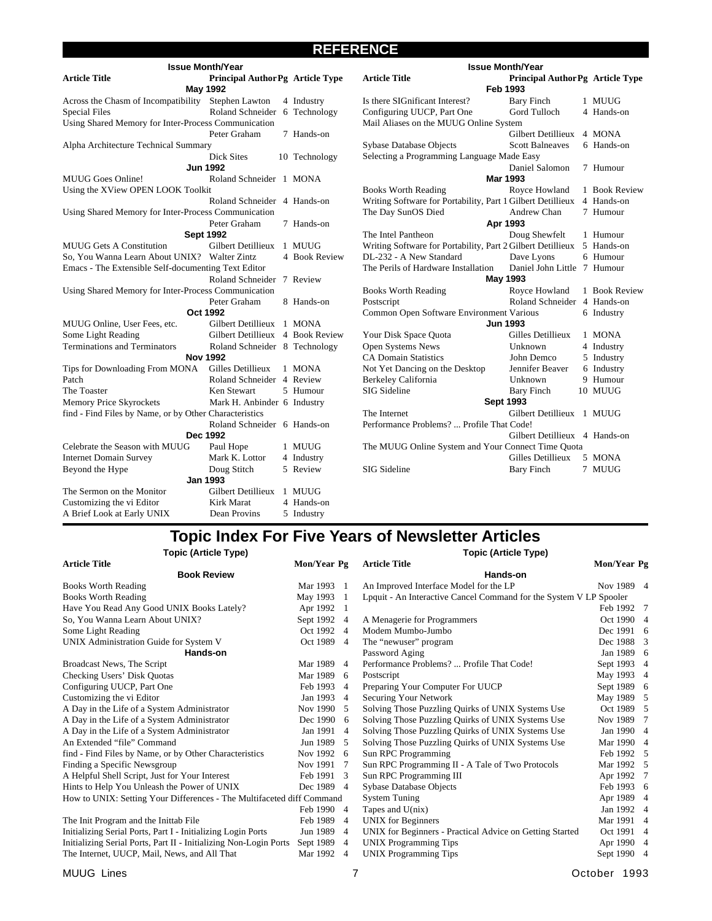### **REFERENCE**

|                                                        | <b>Issue Month/Year</b>                |               |                                                             |                  | <b>Issue Month/Year</b>         |               |
|--------------------------------------------------------|----------------------------------------|---------------|-------------------------------------------------------------|------------------|---------------------------------|---------------|
| <b>Article Title</b>                                   | <b>Principal AuthorPg Article Type</b> |               | <b>Article Title</b>                                        |                  | Principal AuthorPg Article Type |               |
|                                                        | May 1992                               |               |                                                             | <b>Feb 1993</b>  |                                 |               |
| Across the Chasm of Incompatibility Stephen Lawton     |                                        | 4 Industry    | Is there SIGnificant Interest?                              |                  | <b>Bary Finch</b>               | 1 MUUG        |
| <b>Special Files</b>                                   | Roland Schneider 6 Technology          |               | Configuring UUCP, Part One                                  |                  | Gord Tulloch                    | 4 Hands-on    |
| Using Shared Memory for Inter-Process Communication    |                                        |               | Mail Aliases on the MUUG Online System                      |                  |                                 |               |
|                                                        | Peter Graham                           | 7 Hands-on    |                                                             |                  | <b>Gilbert Detillieux</b>       | 4 MONA        |
| Alpha Architecture Technical Summary                   |                                        |               | Sybase Database Objects                                     |                  | <b>Scott Balneaves</b>          | 6 Hands-on    |
|                                                        | <b>Dick Sites</b>                      | 10 Technology | Selecting a Programming Language Made Easy                  |                  |                                 |               |
|                                                        | <b>Jun 1992</b>                        |               |                                                             |                  | Daniel Salomon                  | 7 Humour      |
| <b>MUUG</b> Goes Online!                               | Roland Schneider 1 MONA                |               |                                                             | <b>Mar 1993</b>  |                                 |               |
| Using the XView OPEN LOOK Toolkit                      |                                        |               | <b>Books Worth Reading</b>                                  |                  | Royce Howland                   | 1 Book Review |
|                                                        | Roland Schneider 4 Hands-on            |               | Writing Software for Portability, Part 1 Gilbert Detillieux |                  |                                 | 4 Hands-on    |
| Using Shared Memory for Inter-Process Communication    |                                        |               | The Day SunOS Died                                          |                  | Andrew Chan                     | 7 Humour      |
|                                                        | Peter Graham                           | 7 Hands-on    |                                                             | Apr 1993         |                                 |               |
|                                                        | <b>Sept 1992</b>                       |               | The Intel Pantheon                                          |                  | Doug Shewfelt                   | 1 Humour      |
| <b>MUUG Gets A Constitution</b>                        | Gilbert Detillieux 1 MUUG              |               | Writing Software for Portability, Part 2 Gilbert Detillieux |                  |                                 | 5 Hands-on    |
| So, You Wanna Learn About UNIX? Walter Zintz           |                                        | 4 Book Review | DL-232 - A New Standard                                     |                  | Dave Lyons                      | 6 Humour      |
| Emacs - The Extensible Self-documenting Text Editor    |                                        |               | The Perils of Hardware Installation                         |                  | Daniel John Little 7 Humour     |               |
|                                                        | Roland Schneider 7 Review              |               |                                                             | May 1993         |                                 |               |
| Using Shared Memory for Inter-Process Communication    |                                        |               | <b>Books Worth Reading</b>                                  |                  | Royce Howland                   | 1 Book Review |
|                                                        | Peter Graham                           | 8 Hands-on    | Postscript                                                  |                  | Roland Schneider                | 4 Hands-on    |
|                                                        | Oct 1992                               |               | Common Open Software Environment Various                    |                  |                                 | 6 Industry    |
| MUUG Online, User Fees, etc.                           | Gilbert Detillieux 1 MONA              |               |                                                             | <b>Jun 1993</b>  |                                 |               |
| Some Light Reading                                     | Gilbert Detillieux 4 Book Review       |               | Your Disk Space Quota                                       |                  | Gilles Detillieux               | 1 MONA        |
| <b>Terminations and Terminators</b>                    | Roland Schneider 8 Technology          |               | Open Systems News                                           |                  | Unknown                         | 4 Industry    |
|                                                        | <b>Nov 1992</b>                        |               | <b>CA Domain Statistics</b>                                 |                  | John Demco                      | 5 Industry    |
| Tips for Downloading From MONA                         | Gilles Detillieux                      | 1 MONA        | Not Yet Dancing on the Desktop                              |                  | Jennifer Beaver                 | 6 Industry    |
| Patch                                                  | Roland Schneider 4 Review              |               | Berkeley California                                         |                  | Unknown                         | 9 Humour      |
| The Toaster                                            | Ken Stewart                            | 5 Humour      | SIG Sideline                                                |                  | <b>Bary Finch</b>               | 10 MUUG       |
| Memory Price Skyrockets                                | Mark H. Anbinder 6 Industry            |               |                                                             | <b>Sept 1993</b> |                                 |               |
| find - Find Files by Name, or by Other Characteristics |                                        |               | The Internet                                                |                  | Gilbert Detillieux 1 MUUG       |               |
|                                                        | Roland Schneider 6 Hands-on            |               | Performance Problems?  Profile That Code!                   |                  |                                 |               |
|                                                        | Dec 1992                               |               |                                                             |                  | Gilbert Detillieux 4 Hands-on   |               |
| Celebrate the Season with MUUG                         | Paul Hope                              | 1 MUUG        | The MUUG Online System and Your Connect Time Quota          |                  |                                 |               |
| <b>Internet Domain Survey</b>                          | Mark K. Lottor                         | 4 Industry    |                                                             |                  | Gilles Detillieux               | 5 MONA        |
| Beyond the Hype                                        | Doug Stitch                            | 5 Review      | SIG Sideline                                                |                  | <b>Bary Finch</b>               | 7 MUUG        |
|                                                        | <b>Jan 1993</b>                        |               |                                                             |                  |                                 |               |
| The Sermon on the Monitor                              | Gilbert Detillieux                     | 1 MUUG        |                                                             |                  |                                 |               |
| Customizing the vi Editor                              | Kirk Marat                             | 4 Hands-on    |                                                             |                  |                                 |               |
| A Brief Look at Early UNIX                             | Dean Provins                           | 5 Industry    |                                                             |                  |                                 |               |

### **Topic Index For Five Years of Newsletter Articles**

| <b>Topic (Article Type)</b>                                           |             |                | <b>Topic (Article Type)</b>                                        |                         |  |  |
|-----------------------------------------------------------------------|-------------|----------------|--------------------------------------------------------------------|-------------------------|--|--|
| <b>Article Title</b>                                                  | Mon/Year Pg |                | <b>Article Title</b>                                               | Mon/Year Pg             |  |  |
| <b>Book Review</b>                                                    |             |                | Hands-on                                                           |                         |  |  |
| <b>Books Worth Reading</b>                                            | Mar 1993 1  |                | An Improved Interface Model for the LP                             | Nov 1989 4              |  |  |
| <b>Books Worth Reading</b>                                            | May 1993    | - 1            | Lpquit - An Interactive Cancel Command for the System V LP Spooler |                         |  |  |
| Have You Read Any Good UNIX Books Lately?                             | Apr 1992 1  |                |                                                                    | Feb 1992 7              |  |  |
| So, You Wanna Learn About UNIX?                                       | Sept 1992 4 |                | A Menagerie for Programmers                                        | Oct 1990 4              |  |  |
| Some Light Reading                                                    | Oct 1992 4  |                | Modem Mumbo-Jumbo                                                  | Dec 1991 6              |  |  |
| UNIX Administration Guide for System V                                | Oct 1989 4  |                | The "newuser" program                                              | Dec 1988 3              |  |  |
| Hands-on                                                              |             |                | Password Aging                                                     | Jan 1989 6              |  |  |
| Broadcast News, The Script                                            | Mar 1989    | -4             | Performance Problems?  Profile That Code!                          | Sept 1993 4             |  |  |
| Checking Users' Disk Quotas                                           | Mar 1989    | - 6            | Postscript                                                         | May 1993 4              |  |  |
| Configuring UUCP, Part One                                            | Feb 1993    | $\overline{4}$ | Preparing Your Computer For UUCP                                   | Sept 1989 6             |  |  |
| Customizing the vi Editor                                             | Jan 1993 4  |                | Securing Your Network                                              | May 1989 5              |  |  |
| A Day in the Life of a System Administrator                           | Nov 1990 5  |                | Solving Those Puzzling Quirks of UNIX Systems Use                  | Oct 1989 5              |  |  |
| A Day in the Life of a System Administrator                           | Dec 1990 6  |                | Solving Those Puzzling Quirks of UNIX Systems Use                  | Nov 1989 7              |  |  |
| A Day in the Life of a System Administrator                           | Jan 1991    | $\overline{4}$ | Solving Those Puzzling Quirks of UNIX Systems Use                  | Jan 1990 4              |  |  |
| An Extended "file" Command                                            | Jun 1989    | - 5            | Solving Those Puzzling Quirks of UNIX Systems Use                  | Mar 1990 4              |  |  |
| find - Find Files by Name, or by Other Characteristics                | Nov 1992 6  |                | Sun RPC Programming                                                | Feb 1992 5              |  |  |
| Finding a Specific Newsgroup                                          | Nov 1991    | 7              | Sun RPC Programming II - A Tale of Two Protocols                   | Mar 1992 5              |  |  |
| A Helpful Shell Script, Just for Your Interest                        | Feb 1991 3  |                | Sun RPC Programming III                                            | Apr 1992 7              |  |  |
| Hints to Help You Unleash the Power of UNIX                           | Dec 1989 4  |                | Sybase Database Objects                                            | Feb 1993 6              |  |  |
| How to UNIX: Setting Your Differences - The Multifaceted diff Command |             |                | <b>System Tuning</b>                                               | Apr 1989 4              |  |  |
|                                                                       | Feb 1990 4  |                | Tapes and $U(nix)$                                                 | Jan 1992 4              |  |  |
| The Init Program and the Inittab File                                 | Feb 1989 4  |                | <b>UNIX</b> for Beginners                                          | Mar 1991 4              |  |  |
| Initializing Serial Ports, Part I - Initializing Login Ports          | Jun 1989    | $\overline{4}$ | UNIX for Beginners - Practical Advice on Getting Started           | Oct 1991 4              |  |  |
| Initializing Serial Ports, Part II - Initializing Non-Login Ports     | Sept 1989 4 |                | <b>UNIX Programming Tips</b>                                       | Apr 1990 4              |  |  |
| The Internet, UUCP, Mail, News, and All That                          | Mar 1992 4  |                | UNIX Programming Tips                                              | Sept 1990 4             |  |  |
| $MHLCD$ $\vdots$                                                      |             |                | 7                                                                  | $O_{\alpha}$ tahar 1002 |  |  |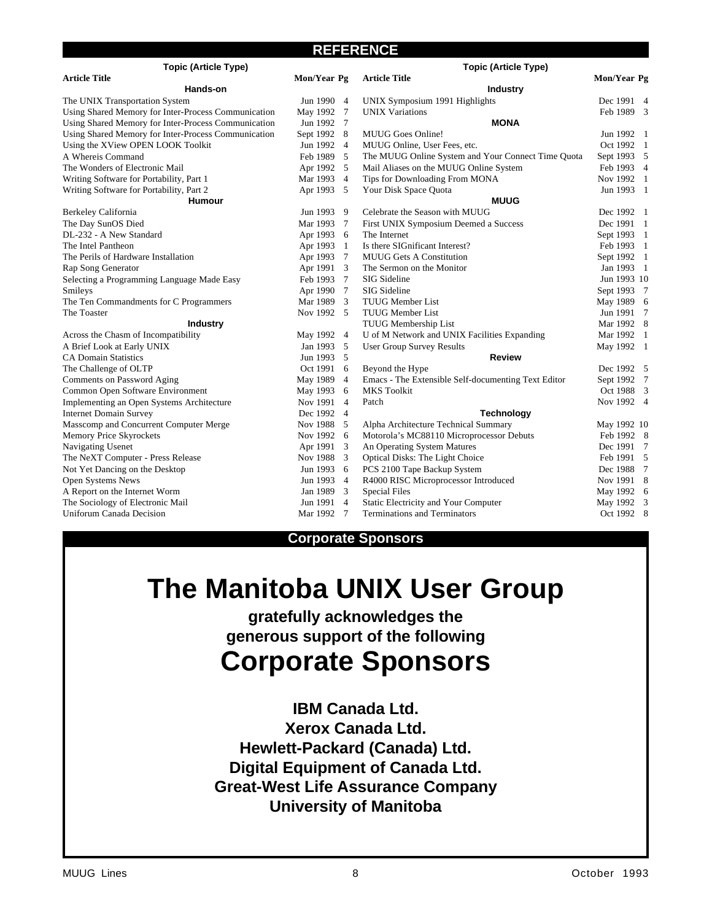### **REFERENCE**

| <b>Topic (Article Type)</b>                         |             |                         | <b>Topic (Article Type)</b>                         |             |  |
|-----------------------------------------------------|-------------|-------------------------|-----------------------------------------------------|-------------|--|
| <b>Article Title</b>                                | Mon/Year Pg |                         | <b>Article Title</b>                                | Mon/Year Pg |  |
| Hands-on                                            |             |                         | <b>Industry</b>                                     |             |  |
| The UNIX Transportation System                      | Jun 1990 4  |                         | UNIX Symposium 1991 Highlights                      | Dec 1991 4  |  |
| Using Shared Memory for Inter-Process Communication | May 1992 7  |                         | <b>UNIX Variations</b>                              | Feb 1989 3  |  |
| Using Shared Memory for Inter-Process Communication | Jun 1992 7  |                         | <b>MONA</b>                                         |             |  |
| Using Shared Memory for Inter-Process Communication | Sept 1992 8 |                         | MUUG Goes Online!                                   | Jun 1992 1  |  |
| Using the XView OPEN LOOK Toolkit                   | Jun 1992 4  |                         | MUUG Online, User Fees, etc.                        | Oct 1992 1  |  |
| A Whereis Command                                   | Feb 1989 5  |                         | The MUUG Online System and Your Connect Time Quota  | Sept 1993 5 |  |
| The Wonders of Electronic Mail                      | Apr 1992 5  |                         | Mail Aliases on the MUUG Online System              | Feb 1993 4  |  |
| Writing Software for Portability, Part 1            | Mar 1993 4  |                         | Tips for Downloading From MONA                      | Nov 1992 1  |  |
| Writing Software for Portability, Part 2            | Apr 1993 5  |                         | Your Disk Space Quota                               | Jun 1993 1  |  |
| <b>Humour</b>                                       |             |                         | <b>MUUG</b>                                         |             |  |
| Berkeley California                                 | Jun 1993 9  |                         | Celebrate the Season with MUUG                      | Dec 1992 1  |  |
| The Day SunOS Died                                  | Mar 1993 7  |                         | First UNIX Symposium Deemed a Success               | Dec 1991 1  |  |
| DL-232 - A New Standard                             | Apr 1993 6  |                         | The Internet                                        | Sept 1993 1 |  |
| The Intel Pantheon                                  | Apr 1993 1  |                         | Is there SIGnificant Interest?                      | Feb 1993 1  |  |
| The Perils of Hardware Installation                 | Apr 1993 7  |                         | <b>MUUG Gets A Constitution</b>                     | Sept 1992 1 |  |
| Rap Song Generator                                  | Apr 1991 3  |                         | The Sermon on the Monitor                           | Jan 1993 1  |  |
| Selecting a Programming Language Made Easy          | Feb 1993 7  |                         | SIG Sideline                                        | Jun 1993 10 |  |
| Smileys                                             | Apr 1990 7  |                         | <b>SIG</b> Sideline                                 | Sept 1993 7 |  |
| The Ten Commandments for C Programmers              | Mar 1989 3  |                         | <b>TUUG Member List</b>                             | May 1989 6  |  |
| The Toaster                                         | Nov 1992 5  |                         | <b>TUUG Member List</b>                             | Jun 1991 7  |  |
| <b>Industry</b>                                     |             |                         | TUUG Membership List                                | Mar 1992 8  |  |
| Across the Chasm of Incompatibility                 | May 1992 4  |                         | U of M Network and UNIX Facilities Expanding        | Mar 1992 1  |  |
| A Brief Look at Early UNIX                          | Jan 1993 5  |                         | <b>User Group Survey Results</b>                    | May 1992 1  |  |
| <b>CA Domain Statistics</b>                         | Jun 1993 5  |                         | <b>Review</b>                                       |             |  |
| The Challenge of OLTP                               | Oct 1991 6  |                         | Beyond the Hype                                     | Dec 1992 5  |  |
| Comments on Password Aging                          | May 1989 4  |                         | Emacs - The Extensible Self-documenting Text Editor | Sept 1992 7 |  |
| Common Open Software Environment                    | May 1993 6  |                         | <b>MKS</b> Toolkit                                  | Oct 1988 3  |  |
| Implementing an Open Systems Architecture           | Nov 1991 4  |                         | Patch                                               | Nov 1992 4  |  |
| <b>Internet Domain Survey</b>                       | Dec 1992 4  |                         | <b>Technology</b>                                   |             |  |
| Masscomp and Concurrent Computer Merge              | Nov 1988    | - 5                     | Alpha Architecture Technical Summary                | May 1992 10 |  |
| Memory Price Skyrockets                             | Nov 1992 6  |                         | Motorola's MC88110 Microprocessor Debuts            | Feb 1992 8  |  |
| Navigating Usenet                                   | Apr 1991    | $\overline{\mathbf{3}}$ | An Operating System Matures                         | Dec 1991 7  |  |
| The NeXT Computer - Press Release                   | Nov 1988    | $\overline{\mathbf{3}}$ | Optical Disks: The Light Choice                     | Feb 1991 5  |  |
| Not Yet Dancing on the Desktop                      | Jun 1993 6  |                         | PCS 2100 Tape Backup System                         | Dec 1988 7  |  |
| Open Systems News                                   | Jun 1993    | -4                      | R4000 RISC Microprocessor Introduced                | Nov 1991 8  |  |
| A Report on the Internet Worm                       | Jan 1989    | -3                      | <b>Special Files</b>                                | May 1992 6  |  |
| The Sociology of Electronic Mail                    | Jun 1991 4  |                         | Static Electricity and Your Computer                | May 1992 3  |  |
| Uniforum Canada Decision                            | Mar 1992 7  |                         | <b>Terminations and Terminators</b>                 | Oct 1992 8  |  |

### **Corporate Sponsors**

## **The Manitoba UNIX User Group**

**gratefully acknowledges the generous support of the following**

## **Corporate Sponsors**

**IBM Canada Ltd. Xerox Canada Ltd. Hewlett-Packard (Canada) Ltd. Digital Equipment of Canada Ltd. Great-West Life Assurance Company University of Manitoba**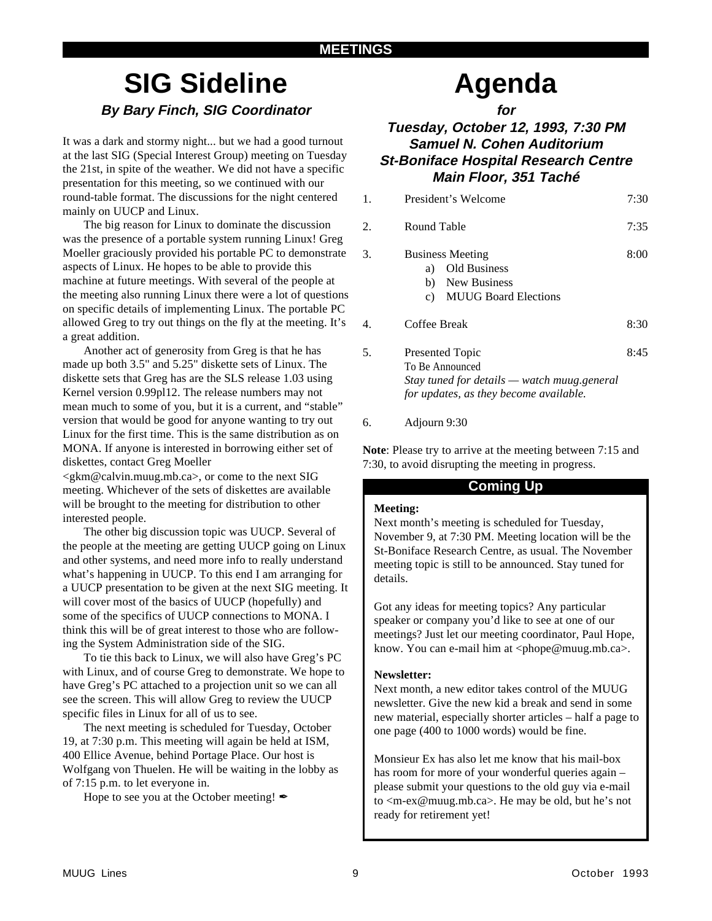## **SIG Sideline By Bary Finch, SIG Coordinator**

It was a dark and stormy night... but we had a good turnout at the last SIG (Special Interest Group) meeting on Tuesday the 21st, in spite of the weather. We did not have a specific presentation for this meeting, so we continued with our round-table format. The discussions for the night centered mainly on UUCP and Linux.

The big reason for Linux to dominate the discussion was the presence of a portable system running Linux! Greg Moeller graciously provided his portable PC to demonstrate aspects of Linux. He hopes to be able to provide this machine at future meetings. With several of the people at the meeting also running Linux there were a lot of questions on specific details of implementing Linux. The portable PC allowed Greg to try out things on the fly at the meeting. It's a great addition.

Another act of generosity from Greg is that he has made up both 3.5" and 5.25" diskette sets of Linux. The diskette sets that Greg has are the SLS release 1.03 using Kernel version 0.99pl12. The release numbers may not mean much to some of you, but it is a current, and "stable" version that would be good for anyone wanting to try out Linux for the first time. This is the same distribution as on MONA. If anyone is interested in borrowing either set of diskettes, contact Greg Moeller <gkm@calvin.muug.mb.ca>, or come to the next SIG

meeting. Whichever of the sets of diskettes are available will be brought to the meeting for distribution to other interested people.

The other big discussion topic was UUCP. Several of the people at the meeting are getting UUCP going on Linux and other systems, and need more info to really understand what's happening in UUCP. To this end I am arranging for a UUCP presentation to be given at the next SIG meeting. It will cover most of the basics of UUCP (hopefully) and some of the specifics of UUCP connections to MONA. I think this will be of great interest to those who are following the System Administration side of the SIG.

To tie this back to Linux, we will also have Greg's PC with Linux, and of course Greg to demonstrate. We hope to have Greg's PC attached to a projection unit so we can all see the screen. This will allow Greg to review the UUCP specific files in Linux for all of us to see.

The next meeting is scheduled for Tuesday, October 19, at 7:30 p.m. This meeting will again be held at ISM, 400 Ellice Avenue, behind Portage Place. Our host is Wolfgang von Thuelen. He will be waiting in the lobby as of 7:15 p.m. to let everyone in.

Hope to see you at the October meeting!  $\mathscr I$ 

# **Agenda**

**for**

### **Tuesday, October 12, 1993, 7:30 PM Samuel N. Cohen Auditorium St-Boniface Hospital Research Centre Main Floor, 351 Taché**

| 1. | President's Welcome                                                                                   | 7:30 |
|----|-------------------------------------------------------------------------------------------------------|------|
| 2. | Round Table                                                                                           | 7:35 |
| 3. | <b>Business Meeting</b><br>Old Business<br>a)<br>b) New Business<br><b>MUUG Board Elections</b><br>c) | 8:00 |
| 4. | Coffee Break                                                                                          | 8:30 |
| 5. | Presented Topic<br>To Be Announced                                                                    | 8:45 |

*Stay tuned for details — watch muug.general for updates, as they become available.*

### 6. Adjourn 9:30

**Note**: Please try to arrive at the meeting between 7:15 and 7:30, to avoid disrupting the meeting in progress.

### **Coming Up**

### **Meeting:**

Next month's meeting is scheduled for Tuesday, November 9, at 7:30 PM. Meeting location will be the St-Boniface Research Centre, as usual. The November meeting topic is still to be announced. Stay tuned for details.

Got any ideas for meeting topics? Any particular speaker or company you'd like to see at one of our meetings? Just let our meeting coordinator, Paul Hope, know. You can e-mail him at  $\langle$ phope@muug.mb.ca>.

### **Newsletter:**

Next month, a new editor takes control of the MUUG newsletter. Give the new kid a break and send in some new material, especially shorter articles – half a page to one page (400 to 1000 words) would be fine.

Monsieur Ex has also let me know that his mail-box has room for more of your wonderful queries again – please submit your questions to the old guy via e-mail to <m-ex@muug.mb.ca>. He may be old, but he's not ready for retirement yet!